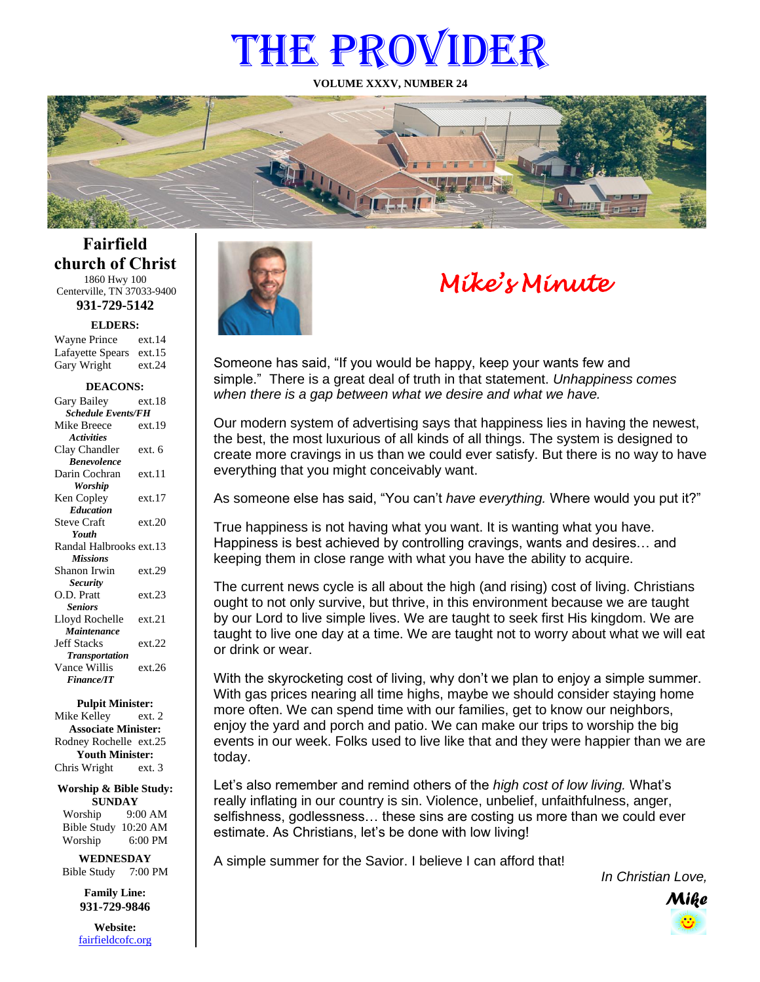# THE PROVIDER

**VOLUME XXXV, NUMBER 24**



# *Mike's Minute*

Someone has said, "If you would be happy, keep your wants few and simple." There is a great deal of truth in that statement. *Unhappiness comes when there is a gap between what we desire and what we have.*

Our modern system of advertising says that happiness lies in having the newest, the best, the most luxurious of all kinds of all things. The system is designed to create more cravings in us than we could ever satisfy. But there is no way to have everything that you might conceivably want.

As someone else has said, "You can't *have everything.* Where would you put it?"

True happiness is not having what you want. It is wanting what you have. Happiness is best achieved by controlling cravings, wants and desires… and keeping them in close range with what you have the ability to acquire.

The current news cycle is all about the high (and rising) cost of living. Christians ought to not only survive, but thrive, in this environment because we are taught by our Lord to live simple lives. We are taught to seek first His kingdom. We are taught to live one day at a time. We are taught not to worry about what we will eat or drink or wear.

With the skyrocketing cost of living, why don't we plan to enjoy a simple summer. With gas prices nearing all time highs, maybe we should consider staying home more often. We can spend time with our families, get to know our neighbors, enjoy the yard and porch and patio. We can make our trips to worship the big events in our week. Folks used to live like that and they were happier than we are today.

Let's also remember and remind others of the *high cost of low living.* What's really inflating in our country is sin. Violence, unbelief, unfaithfulness, anger, selfishness, godlessness… these sins are costing us more than we could ever estimate. As Christians, let's be done with low living!

A simple summer for the Savior. I believe I can afford that!

*In Christian Love,*



**Fairfield church of Christ** 1860 Hwy 100

Centerville, TN 37033-9400 **931-729-5142**

**ELDERS:**

| <b>Wayne Prince</b>     | ext.14 |
|-------------------------|--------|
| Lafayette Spears ext.15 |        |
| Gary Wright             | ext.24 |

#### **DEACONS:**

| Gary Bailey                      | ext.18 |  |
|----------------------------------|--------|--|
| <b>Schedule Events/FH</b>        |        |  |
| Mike Breece                      | ext.19 |  |
| <b>Activities</b>                |        |  |
| Clay Chandler                    | ext. 6 |  |
| <b><i><u>Renevolence</u></i></b> |        |  |
| Darin Cochran                    | ext.11 |  |
| Worship                          |        |  |
| Ken Copley                       | ext.17 |  |
| <b>Education</b>                 |        |  |
| <b>Steve Craft</b>               | ext.20 |  |
| Youth                            |        |  |
| Randal Halbrooks ext.13          |        |  |
| <b>Missions</b>                  |        |  |
| Shanon Irwin                     | ext.29 |  |
| <b>Security</b>                  |        |  |
| O.D. Pratt                       | ext.23 |  |
| <b>Seniors</b>                   |        |  |
| Lloyd Rochelle                   | ext.21 |  |
| Maintenance                      |        |  |
| <b>Jeff Stacks</b>               | ext.22 |  |
| <b>Transportation</b>            |        |  |
| Vance Willis                     | ext 26 |  |
| <b>Finance/IT</b>                |        |  |
|                                  |        |  |

**Pulpit Minister:**

Mike Kelley ext. 2 **Associate Minister:** Rodney Rochelle ext.25 **Youth Minister:** Chris Wright ext. 3

**Worship & Bible Study: SUNDAY** Worship 9:00 AM

Bible Study 10:20 AM Worship 6:00 PM

**WEDNESDAY** Bible Study 7:00 PM

> **Family Line: 931-729-9846**

**Website:** [fairfieldcofc.org](file:///C:/Users/RickJoyce/Documents/Fairfield%20Website%20Files/fairfieldchurchofchrist.org)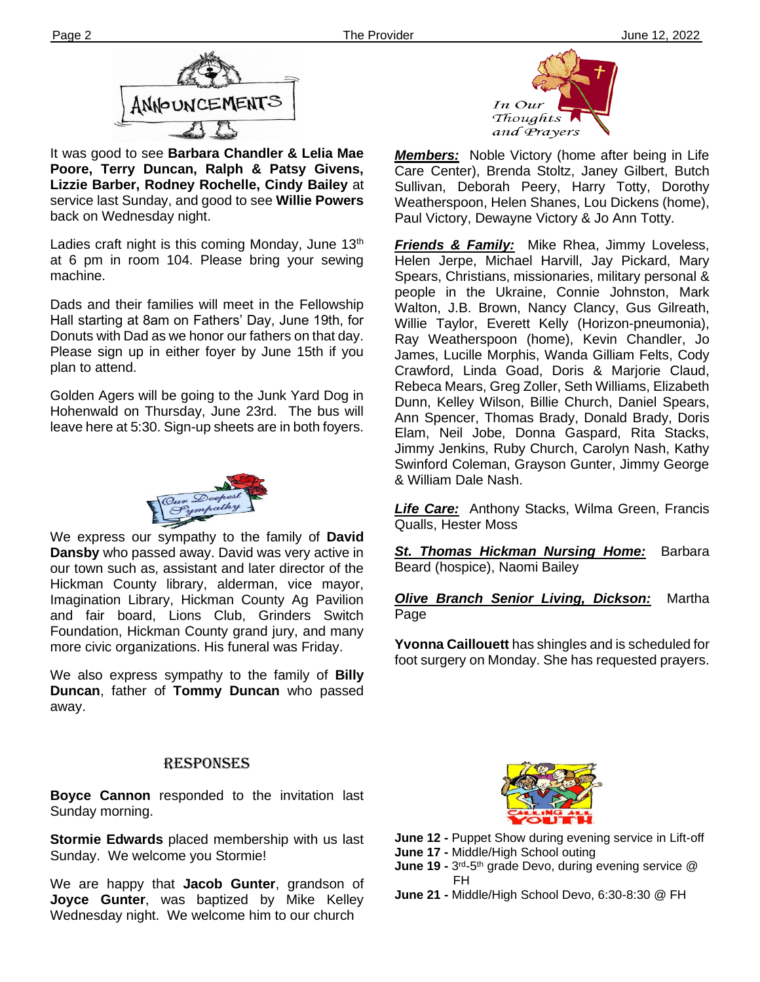

It was good to see **Barbara Chandler & Lelia Mae Poore, Terry Duncan, Ralph & Patsy Givens, Lizzie Barber, Rodney Rochelle, Cindy Bailey** at service last Sunday, and good to see **Willie Powers** back on Wednesday night.

**Ther** at 6 pm in room 104. Please bring your sewing Ladies craft night is this coming Monday, June  $13<sup>th</sup>$ machine.

Dads and their families will meet in the Fellowship Hall starting at 8am on Fathers' Day, June 19th, for Donuts with Dad as we honor our fathers on that day. Please sign up in either foyer by June 15th if you plan to attend.

Golden Agers will be going to the Junk Yard Dog in Hohenwald on Thursday, June 23rd. The bus will leave here at 5:30. Sign-up sheets are in both foyers.



We express our sympathy to the family of **David Dansby** who passed away. David was very active in our town such as, assistant and later director of the Hickman County library, alderman, vice mayor, Imagination Library, Hickman County Ag Pavilion and fair board, Lions Club, Grinders Switch Foundation, Hickman County grand jury, and many more civic organizations. His funeral was Friday.

**filem** away. We also express sympathy to the family of **Billy Duncan**, father of **Tommy Duncan** who passed

#### RESPONSES

**Boyce Cannon** responded to the invitation last Sunday morning.

**Stormie Edwards** placed membership with us last Sunday. We welcome you Stormie!

We are happy that **Jacob Gunter**, grandson of **Joyce Gunter**, was baptized by Mike Kelley Wednesday night. We welcome him to our church



*Members:* Noble Victory (home after being in Life Care Center), Brenda Stoltz, Janey Gilbert, Butch Sullivan, Deborah Peery, Harry Totty, Dorothy Weatherspoon, Helen Shanes, Lou Dickens (home), Paul Victory, Dewayne Victory & Jo Ann Totty.

*Friends & Family:* Mike Rhea, Jimmy Loveless, Helen Jerpe, Michael Harvill, Jay Pickard, Mary Spears, Christians, missionaries, military personal & people in the Ukraine, Connie Johnston, Mark Walton, J.B. Brown, Nancy Clancy, Gus Gilreath, Willie Taylor, Everett Kelly (Horizon-pneumonia), Ray Weatherspoon (home), Kevin Chandler, Jo James, Lucille Morphis, Wanda Gilliam Felts, Cody Crawford, Linda Goad, Doris & Marjorie Claud, Rebeca Mears, Greg Zoller, Seth Williams, Elizabeth Dunn, Kelley Wilson, Billie Church, Daniel Spears, Ann Spencer, Thomas Brady, Donald Brady, Doris Elam, Neil Jobe, Donna Gaspard, Rita Stacks, Jimmy Jenkins, Ruby Church, Carolyn Nash, Kathy Swinford Coleman, Grayson Gunter, Jimmy George & William Dale Nash.

*Life Care:* Anthony Stacks, Wilma Green, Francis Qualls, Hester Moss

**St. Thomas Hickman Nursing Home:** Barbara Beard (hospice), Naomi Bailey

#### *Olive Branch Senior Living, Dickson:* Martha Page

**Yvonna Caillouett** has shingles and is scheduled for foot surgery on Monday. She has requested prayers.



- **June 12 -** Puppet Show during evening service in Lift-off
- **June 17 -** Middle/High School outing
- **June 19 -** 3<sup>rd</sup>-5<sup>th</sup> grade Devo, during evening service @ FH
- **June 21 -** Middle/High School Devo, 6:30-8:30 @ FH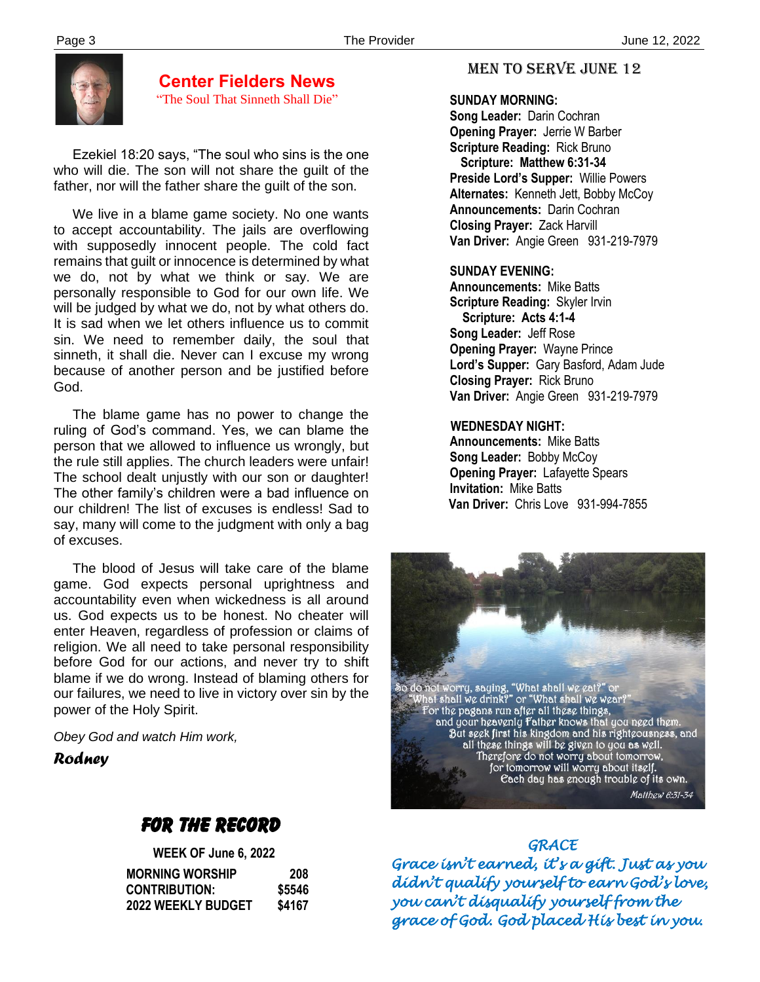

#### **Center Fielders News** "The Soul That Sinneth Shall Die"

 Ezekiel 18:20 says, "The soul who sins is the one who will die. The son will not share the guilt of the father, nor will the father share the guilt of the son.

 We live in a blame game society. No one wants to accept accountability. The jails are overflowing with supposedly innocent people. The cold fact remains that guilt or innocence is determined by what we do, not by what we think or say. We are personally responsible to God for our own life. We will be judged by what we do, not by what others do. It is sad when we let others influence us to commit sin. We need to remember daily, the soul that sinneth, it shall die. Never can I excuse my wrong because of another person and be justified before God.

 The blame game has no power to change the ruling of God's command. Yes, we can blame the person that we allowed to influence us wrongly, but the rule still applies. The church leaders were unfair! The school dealt unjustly with our son or daughter! The other family's children were a bad influence on our children! The list of excuses is endless! Sad to say, many will come to the judgment with only a bag of excuses.

 our failures, we need to live in victory over sin by the The blood of Jesus will take care of the blame game. God expects personal uprightness and accountability even when wickedness is all around us. God expects us to be honest. No cheater will enter Heaven, regardless of profession or claims of religion. We all need to take personal responsibility before God for our actions, and never try to shift blame if we do wrong. Instead of blaming others for power of the Holy Spirit.

*Obey God and watch Him work,*

*Rodney*

# FOR THE RECORD

| <b>WEEK OF June 6, 2022</b> |        |
|-----------------------------|--------|
| <b>MORNING WORSHIP</b>      | 208    |
| <b>CONTRIBUTION:</b>        | \$5546 |
| <b>2022 WEEKLY BUDGET</b>   | \$4167 |

#### MEN TO SERVE June 12

#### **SUNDAY MORNING:**

**Song Leader:** Darin Cochran  **Opening Prayer:** Jerrie W Barber **Scripture Reading:** Rick Bruno  **Scripture: Matthew 6:31-34 Preside Lord's Supper:** Willie Powers  **Alternates:** Kenneth Jett, Bobby McCoy  **Announcements:** Darin Cochran  **Closing Prayer:** Zack Harvill **Van Driver:** Angie Green 931-219-7979

#### **SUNDAY EVENING:**

**Announcements:** Mike Batts **Scripture Reading:** Skyler Irvin  **Scripture: Acts 4:1-4 Song Leader:** Jeff Rose **Opening Prayer:** Wayne Prince **Lord's Supper:** Gary Basford, Adam Jude **Closing Prayer:** Rick Bruno **Van Driver:** Angie Green 931-219-7979

#### **WEDNESDAY NIGHT:**

**Announcements:** Mike Batts **Song Leader:** Bobby McCoy **Opening Prayer:** Lafayette Spears **Invitation:** Mike Batts  **Van Driver:** Chris Love 931-994-7855



#### *GRACE*

*Grace isn't earned, it's a gift. Just as you didn't qualify yourself to earn God's love, you can't disqualify yourself from the grace of God. God placed His best in you.*